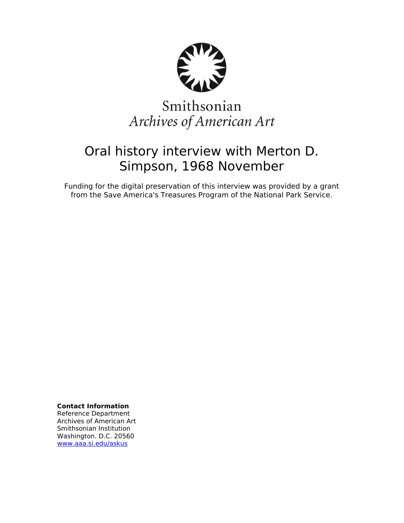

# Smithsonian Archives of American Art

## Oral history interview with Merton D. Simpson, 1968 November

Funding for the digital preservation of this interview was provided by a grant from the Save America's Treasures Program of the National Park Service.

**Contact Information**

Reference Department Archives of American Art Smithsonian Institution Washington. D.C. 20560 [www.aaa.si.edu/askus](http://www.aaa.si.edu/askus)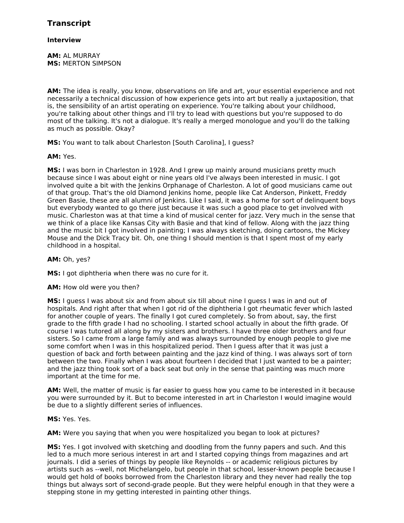## **Interview**

**AM:** AL MURRAY **MS:** MERTON SIMPSON

**AM:** The idea is really, you know, observations on life and art, your essential experience and not necessarily a technical discussion of how experience gets into art but really a juxtaposition, that is, the sensibility of an artist operating on experience. You're talking about your childhood, you're talking about other things and I'll try to lead with questions but you're supposed to do most of the talking. It's not a dialogue. It's really a merged monologue and you'll do the talking as much as possible. Okay?

**MS:** You want to talk about Charleston [South Carolina], I guess?

## **AM:** Yes.

**MS:** I was born in Charleston in 1928. And I grew up mainly around musicians pretty much because since I was about eight or nine years old I've always been interested in music. I got involved quite a bit with the Jenkins Orphanage of Charleston. A lot of good musicians came out of that group. That's the old Diamond Jenkins home, people like Cat Anderson, Pinkett, Freddy Green Basie, these are all alumni of Jenkins. Like I said, it was a home for sort of delinquent boys but everybody wanted to go there just because it was such a good place to get involved with music. Charleston was at that time a kind of musical center for jazz. Very much in the sense that we think of a place like Kansas City with Basie and that kind of fellow. Along with the jazz thing and the music bit I got involved in painting; I was always sketching, doing cartoons, the Mickey Mouse and the Dick Tracy bit. Oh, one thing I should mention is that I spent most of my early childhood in a hospital.

## **AM:** Oh, yes?

**MS:** I got diphtheria when there was no cure for it.

## **AM:** How old were you then?

**MS:** I guess I was about six and from about six till about nine I guess I was in and out of hospitals. And right after that when I got rid of the diphtheria I got rheumatic fever which lasted for another couple of years. The finally I got cured completely. So from about, say, the first grade to the fifth grade I had no schooling. I started school actually in about the fifth grade. Of course I was tutored all along by my sisters and brothers. I have three older brothers and four sisters. So I came from a large family and was always surrounded by enough people to give me some comfort when I was in this hospitalized period. Then I guess after that it was just a question of back and forth between painting and the jazz kind of thing. I was always sort of torn between the two. Finally when I was about fourteen I decided that I just wanted to be a painter; and the jazz thing took sort of a back seat but only in the sense that painting was much more important at the time for me.

**AM:** Well, the matter of music is far easier to guess how you came to be interested in it because you were surrounded by it. But to become interested in art in Charleston I would imagine would be due to a slightly different series of influences.

## **MS:** Yes. Yes.

**AM:** Were you saying that when you were hospitalized you began to look at pictures?

**MS:** Yes. I got involved with sketching and doodling from the funny papers and such. And this led to a much more serious interest in art and I started copying things from magazines and art journals. I did a series of things by people like Reynolds -- or academic religious pictures by artists such as --well, not Michelangelo, but people in that school, lesser-known people because I would get hold of books borrowed from the Charleston library and they never had really the top things but always sort of second-grade people. But they were helpful enough in that they were a stepping stone in my getting interested in painting other things.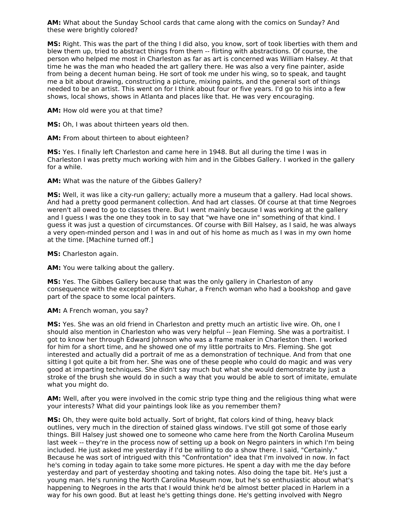**AM:** What about the Sunday School cards that came along with the comics on Sunday? And these were brightly colored?

**MS:** Right. This was the part of the thing I did also, you know, sort of took liberties with them and blew them up, tried to abstract things from them -- flirting with abstractions. Of course, the person who helped me most in Charleston as far as art is concerned was William Halsey. At that time he was the man who headed the art gallery there. He was also a very fine painter, aside from being a decent human being. He sort of took me under his wing, so to speak, and taught me a bit about drawing, constructing a picture, mixing paints, and the general sort of things needed to be an artist. This went on for I think about four or five years. I'd go to his into a few shows, local shows, shows in Atlanta and places like that. He was very encouraging.

**AM:** How old were you at that time?

**MS:** Oh, I was about thirteen years old then.

**AM:** From about thirteen to about eighteen?

**MS:** Yes. I finally left Charleston and came here in 1948. But all during the time I was in Charleston I was pretty much working with him and in the Gibbes Gallery. I worked in the gallery for a while.

**AM:** What was the nature of the Gibbes Gallery?

**MS:** Well, it was like a city-run gallery; actually more a museum that a gallery. Had local shows. And had a pretty good permanent collection. And had art classes. Of course at that time Negroes weren't all owed to go to classes there. But I went mainly because I was working at the gallery and I guess I was the one they took in to say that "we have one in" something of that kind. I guess it was just a question of circumstances. Of course with Bill Halsey, as I said, he was always a very open-minded person and I was in and out of his home as much as I was in my own home at the time. [Machine turned off.]

**MS:** Charleston again.

**AM:** You were talking about the gallery.

**MS:** Yes. The Gibbes Gallery because that was the only gallery in Charleston of any consequence with the exception of Kyra Kuhar, a French woman who had a bookshop and gave part of the space to some local painters.

#### **AM:** A French woman, you say?

**MS:** Yes. She was an old friend in Charleston and pretty much an artistic live wire. Oh, one I should also mention in Charleston who was very helpful -- Jean Fleming. She was a portraitist. I got to know her through Edward Johnson who was a frame maker in Charleston then. I worked for him for a short time, and he showed one of my little portraits to Mrs. Fleming. She got interested and actually did a portrait of me as a demonstration of technique. And from that one sitting I got quite a bit from her. She was one of these people who could do magic and was very good at imparting techniques. She didn't say much but what she would demonstrate by just a stroke of the brush she would do in such a way that you would be able to sort of imitate, emulate what you might do.

**AM:** Well, after you were involved in the comic strip type thing and the religious thing what were your interests? What did your paintings look like as you remember them?

**MS:** Oh, they were quite bold actually. Sort of bright, flat colors kind of thing, heavy black outlines, very much in the direction of stained glass windows. I've still got some of those early things. Bill Halsey just showed one to someone who came here from the North Carolina Museum last week -- they're in the process now of setting up a book on Negro painters in which I'm being included. He just asked me yesterday if I'd be willing to do a show there. I said, "Certainly." Because he was sort of intrigued with this "Confrontation" idea that I'm involved in now. In fact he's coming in today again to take some more pictures. He spent a day with me the day before yesterday and part of yesterday shooting and taking notes. Also doing the tape bit. He's just a young man. He's running the North Carolina Museum now, but he's so enthusiastic about what's happening to Negroes in the arts that I would think he'd be almost better placed in Harlem in a way for his own good. But at least he's getting things done. He's getting involved with Negro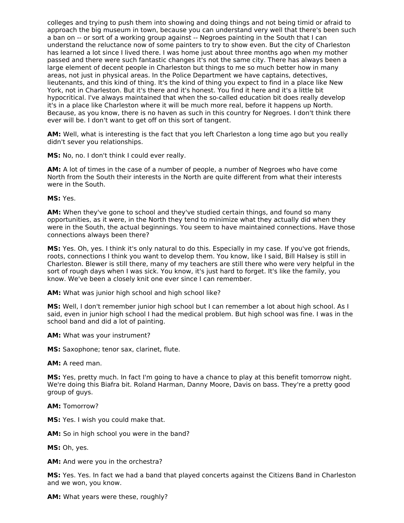colleges and trying to push them into showing and doing things and not being timid or afraid to approach the big museum in town, because you can understand very well that there's been such a ban on -- or sort of a working group against -- Negroes painting in the South that I can understand the reluctance now of some painters to try to show even. But the city of Charleston has learned a lot since I lived there. I was home just about three months ago when my mother passed and there were such fantastic changes it's not the same city. There has always been a large element of decent people in Charleston but things to me so much better how in many areas, not just in physical areas. In the Police Department we have captains, detectives, lieutenants, and this kind of thing. It's the kind of thing you expect to find in a place like New York, not in Charleston. But it's there and it's honest. You find it here and it's a little bit hypocritical. I've always maintained that when the so-called education bit does really develop it's in a place like Charleston where it will be much more real, before it happens up North. Because, as you know, there is no haven as such in this country for Negroes. I don't think there ever will be. I don't want to get off on this sort of tangent.

**AM:** Well, what is interesting is the fact that you left Charleston a long time ago but you really didn't sever you relationships.

**MS:** No, no. I don't think I could ever really.

**AM:** A lot of times in the case of a number of people, a number of Negroes who have come North from the South their interests in the North are quite different from what their interests were in the South.

**MS:** Yes.

**AM:** When they've gone to school and they've studied certain things, and found so many opportunities, as it were, in the North they tend to minimize what they actually did when they were in the South, the actual beginnings. You seem to have maintained connections. Have those connections always been there?

**MS:** Yes. Oh, yes. I think it's only natural to do this. Especially in my case. If you've got friends, roots, connections I think you want to develop them. You know, like I said, Bill Halsey is still in Charleston. Blewer is still there, many of my teachers are still there who were very helpful in the sort of rough days when I was sick. You know, it's just hard to forget. It's like the family, you know. We've been a closely knit one ever since I can remember.

**AM:** What was junior high school and high school like?

**MS:** Well, I don't remember junior high school but I can remember a lot about high school. As I said, even in junior high school I had the medical problem. But high school was fine. I was in the school band and did a lot of painting.

**AM:** What was your instrument?

**MS:** Saxophone; tenor sax, clarinet, flute.

**AM:** A reed man.

**MS:** Yes, pretty much. In fact I'm going to have a chance to play at this benefit tomorrow night. We're doing this Biafra bit. Roland Harman, Danny Moore, Davis on bass. They're a pretty good group of guys.

**AM:** Tomorrow?

**MS:** Yes. I wish you could make that.

**AM:** So in high school you were in the band?

**MS:** Oh, yes.

**AM:** And were you in the orchestra?

**MS:** Yes. Yes. In fact we had a band that played concerts against the Citizens Band in Charleston and we won, you know.

**AM:** What years were these, roughly?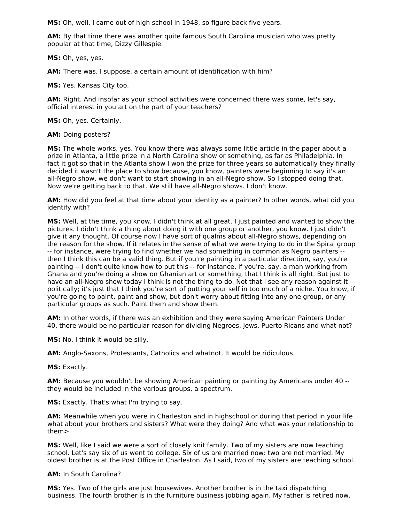**MS:** Oh, well, I came out of high school in 1948, so figure back five years.

**AM:** By that time there was another quite famous South Carolina musician who was pretty popular at that time, Dizzy Gillespie.

**MS:** Oh, yes, yes.

**AM:** There was, I suppose, a certain amount of identification with him?

**MS:** Yes. Kansas City too.

**AM:** Right. And insofar as your school activities were concerned there was some, let's say, official interest in you art on the part of your teachers?

**MS:** Oh, yes. Certainly.

**AM:** Doing posters?

**MS:** The whole works, yes. You know there was always some little article in the paper about a prize in Atlanta, a little prize in a North Carolina show or something, as far as Philadelphia. In fact it got so that in the Atlanta show I won the prize for three years so automatically they finally decided it wasn't the place to show because, you know, painters were beginning to say it's an all-Negro show, we don't want to start showing in an all-Negro show. So I stopped doing that. Now we're getting back to that. We still have all-Negro shows. I don't know.

**AM:** How did you feel at that time about your identity as a painter? In other words, what did you identify with?

**MS:** Well, at the time, you know, I didn't think at all great. I just painted and wanted to show the pictures. I didn't think a thing about doing it with one group or another, you know. I just didn't give it any thought. Of course now I have sort of qualms about all-Negro shows, depending on the reason for the show. If it relates in the sense of what we were trying to do in the Spiral group -- for instance, were trying to find whether we had something in common as Negro painters - then I think this can be a valid thing. But if you're painting in a particular direction, say, you're painting -- I don't quite know how to put this -- for instance, if you're, say, a man working from Ghana and you're doing a show on Ghanian art or something, that I think is all right. But just to have an all-Negro show today I think is not the thing to do. Not that I see any reason against it politically; it's just that I think you're sort of putting your self in too much of a niche. You know, if you're going to paint, paint and show, but don't worry about fitting into any one group, or any particular groups as such. Paint them and show them.

**AM:** In other words, if there was an exhibition and they were saying American Painters Under 40, there would be no particular reason for dividing Negroes, Jews, Puerto Ricans and what not?

**MS:** No. I think it would be silly.

**AM:** Anglo-Saxons, Protestants, Catholics and whatnot. It would be ridiculous.

**MS:** Exactly.

**AM:** Because you wouldn't be showing American painting or painting by Americans under 40 - they would be included in the various groups, a spectrum.

**MS:** Exactly. That's what I'm trying to say.

**AM:** Meanwhile when you were in Charleston and in highschool or during that period in your life what about your brothers and sisters? What were they doing? And what was your relationship to them>

**MS:** Well, like I said we were a sort of closely knit family. Two of my sisters are now teaching school. Let's say six of us went to college. Six of us are married now: two are not married. My oldest brother is at the Post Office in Charleston. As I said, two of my sisters are teaching school.

#### **AM:** In South Carolina?

**MS:** Yes. Two of the girls are just housewives. Another brother is in the taxi dispatching business. The fourth brother is in the furniture business jobbing again. My father is retired now.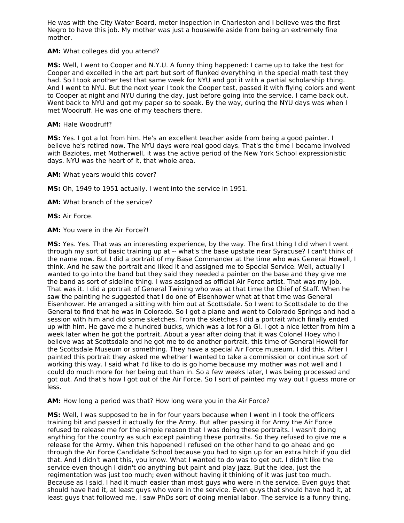He was with the City Water Board, meter inspection in Charleston and I believe was the first Negro to have this job. My mother was just a housewife aside from being an extremely fine mother.

### **AM:** What colleges did you attend?

**MS:** Well, I went to Cooper and N.Y.U. A funny thing happened: I came up to take the test for Cooper and excelled in the art part but sort of flunked everything in the special math test they had. So I took another test that same week for NYU and got it with a partial scholarship thing. And I went to NYU. But the next year I took the Cooper test, passed it with flying colors and went to Cooper at night and NYU during the day, just before going into the service. I came back out. Went back to NYU and got my paper so to speak. By the way, during the NYU days was when I met Woodruff. He was one of my teachers there.

#### **AM:** Hale Woodruff?

**MS:** Yes. I got a lot from him. He's an excellent teacher aside from being a good painter. I believe he's retired now. The NYU days were real good days. That's the time I became involved with Baziotes, met Motherwell, it was the active period of the New York School expressionistic days. NYU was the heart of it, that whole area.

**AM:** What years would this cover?

**MS:** Oh, 1949 to 1951 actually. I went into the service in 1951.

**AM:** What branch of the service?

**MS:** Air Force.

**AM:** You were in the Air Force?!

**MS:** Yes. Yes. That was an interesting experience, by the way. The first thing I did when I went through my sort of basic training up at -- what's the base upstate near Syracuse? I can't think of the name now. But I did a portrait of my Base Commander at the time who was General Howell, I think. And he saw the portrait and liked it and assigned me to Special Service. Well, actually I wanted to go into the band but they said they needed a painter on the base and they give me the band as sort of sideline thing. I was assigned as official Air Force artist. That was my job. That was it. I did a portrait of General Twining who was at that time the Chief of Staff. When he saw the painting he suggested that I do one of Eisenhower what at that time was General Eisenhower. He arranged a sitting with him out at Scottsdale. So I went to Scottsdale to do the General to find that he was in Colorado. So I got a plane and went to Colorado Springs and had a session with him and did some sketches. From the sketches I did a portrait which finally ended up with him. He gave me a hundred bucks, which was a lot for a GI. I got a nice letter from him a week later when he got the portrait. About a year after doing that it was Colonel Hoey who I believe was at Scottsdale and he got me to do another portrait, this time of General Howell for the Scottsdale Museum or something. They have a special Air Force museum. I did this. After I painted this portrait they asked me whether I wanted to take a commission or continue sort of working this way. I said what I'd like to do is go home because my mother was not well and I could do much more for her being out than in. So a few weeks later, I was being processed and got out. And that's how I got out of the Air Force. So I sort of painted my way out I guess more or less.

**AM:** How long a period was that? How long were you in the Air Force?

**MS:** Well, I was supposed to be in for four years because when I went in I took the officers training bit and passed it actually for the Army. But after passing it for Army the Air Force refused to release me for the simple reason that I was doing these portraits. I wasn't doing anything for the country as such except painting these portraits. So they refused to give me a release for the Army. When this happened I refused on the other hand to go ahead and go through the Air Force Candidate School because you had to sign up for an extra hitch if you did that. And I didn't want this, you know. What I wanted to do was to get out. I didn't like the service even though I didn't do anything but paint and play jazz. But the idea, just the regimentation was just too much; even without having it thinking of it was just too much. Because as I said, I had it much easier than most guys who were in the service. Even guys that should have had it, at least guys who were in the service. Even guys that should have had it, at least guys that followed me, I saw PhDs sort of doing menial labor. The service is a funny thing,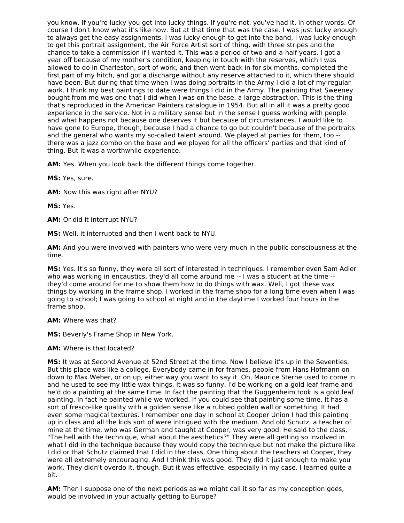you know. If you're lucky you get into lucky things. If you're not, you've had it, in other words. Of course I don't know what it's like now. But at that time that was the case. I was just lucky enough to always get the easy assignments. I was lucky enough to get into the band, I was lucky enough to get this portrait assignment, the Air Force Artist sort of thing, with three stripes and the chance to take a commission if I wanted it. This was a period of two-and-a-half years. I got a year off because of my mother's condition, keeping in touch with the reserves, which I was allowed to do in Charleston, sort of work, and then went back in for six months, completed the first part of my hitch, and got a discharge without any reserve attached to it, which there should have been. But during that time when I was doing portraits in the Army I did a lot of my regular work. I think my best paintings to date were things I did in the Army. The painting that Sweeney bought from me was one that I did when I was on the base, a large abstraction. This is the thing that's reproduced in the American Painters catalogue in 1954. But all in all it was a pretty good experience in the service. Not in a military sense but in the sense I guess working with people and what happens not because one deserves it but because of circumstances. I would like to have gone to Europe, though, because I had a chance to go but couldn't because of the portraits and the general who wants my so-called talent around. We played at parties for them, too - there was a jazz combo on the base and we played for all the officers' parties and that kind of thing. But it was a worthwhile experience.

**AM:** Yes. When you look back the different things come together.

**MS:** Yes, sure.

**AM:** Now this was right after NYU?

**MS:** Yes.

**AM:** Or did it interrupt NYU?

**MS:** Well, it interrupted and then I went back to NYU.

**AM:** And you were involved with painters who were very much in the public consciousness at the time.

**MS:** Yes. It's so funny, they were all sort of interested in techniques. I remember even Sam Adler who was working in encaustics, they'd all come around me -- I was a student at the time - they'd come around for me to show them how to do things with wax. Well, I got these wax things by working in the frame shop. I worked in the frame shop for a long time even when I was going to school; I was going to school at night and in the daytime I worked four hours in the frame shop.

**AM:** Where was that?

**MS:** Beverly's Frame Shop in New York.

**AM:** Where is that located?

**MS:** It was at Second Avenue at 52nd Street at the time. Now I believe it's up in the Seventies. But this place was like a college. Everybody came in for frames, people from Hans Hofmann on down to Max Weber, or on up, either way you want to say it. Oh, Maurice Sterne used to come in and he used to see my little wax things. It was so funny, I'd be working on a gold leaf frame and he'd do a painting at the same time. In fact the painting that the Guggenheim took is a gold leaf painting. In fact he painted while we worked. If you could see that painting some time. It has a sort of fresco-like quality with a golden sense like a rubbed golden wall or something. It had even some magical textures. I remember one day in school at Cooper Union I had this painting up in class and all the kids sort of were intrigued with the medium. And old Schutz, a teacher of mine at the time, who was German and taught at Cooper, was very good. He said to the class, "The hell with the technique, what about the aesthetics?" They were all getting so involved in what I did in the technique because they would copy the technique but not make the picture like I did or that Schutz claimed that I did in the class. One thing about the teachers at Cooper, they were all extremely encouraging. And I think this was good. They did it just enough to make you work. They didn't overdo it, though. But it was effective, especially in my case. I learned quite a bit.

**AM:** Then I suppose one of the next periods as we might call it so far as my conception goes, would be involved in your actually getting to Europe?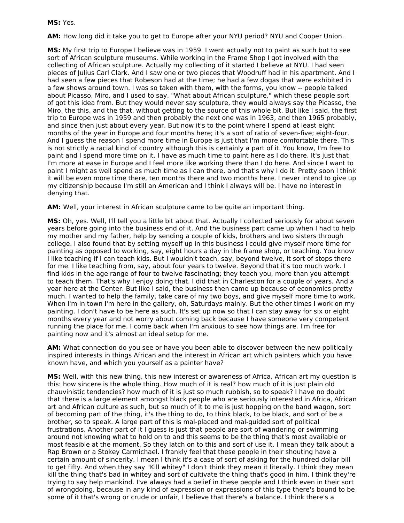#### **MS:** Yes.

**AM:** How long did it take you to get to Europe after your NYU period? NYU and Cooper Union.

**MS:** My first trip to Europe I believe was in 1959. I went actually not to paint as such but to see sort of African sculpture museums. While working in the Frame Shop I got involved with the collecting of African sculpture. Actually my collecting of it started I believe at NYU. I had seen pieces of Julius Carl Clark. And I saw one or two pieces that Woodruff had in his apartment. And I had seen a few pieces that Robeson had at the time; he had a few dogas that were exhibited in a few shows around town. I was so taken with them, with the forms, you know -- people talked about Picasso, Miro, and I used to say, "What about African sculpture," which these people sort of got this idea from. But they would never say sculpture, they would always say the Picasso, the Miro, the this, and the that, without getting to the source of this whole bit. But like I said, the first trip to Europe was in 1959 and then probably the next one was in 1963, and then 1965 probably, and since then just about every year. But now it's to the point where I spend at least eight months of the year in Europe and four months here; it's a sort of ratio of seven-five; eight-four. And I guess the reason I spend more time in Europe is just that I'm more comfortable there. This is not strictly a racial kind of country although this is certainly a part of it. You know, I'm free to paint and I spend more time on it. I have as much time to paint here as I do there. It's just that I'm more at ease in Europe and I feel more like working there than I do here. And since I want to paint I might as well spend as much time as I can there, and that's why I do it. Pretty soon I think it will be even more time there, ten months there and two months here. I never intend to give up my citizenship because I'm still an American and I think I always will be. I have no interest in denying that.

**AM:** Well, your interest in African sculpture came to be quite an important thing.

**MS:** Oh, yes. Well, I'll tell you a little bit about that. Actually I collected seriously for about seven years before going into the business end of it. And the business part came up when I had to help my mother and my father, help by sending a couple of kids, brothers and two sisters through college. I also found that by setting myself up in this business I could give myself more time for painting as opposed to working, say, eight hours a day in the frame shop, or teaching. You know I like teaching if I can teach kids. But I wouldn't teach, say, beyond twelve, it sort of stops there for me. I like teaching from, say, about four years to twelve. Beyond that it's too much work. I find kids in the age range of four to twelve fascinating; they teach you, more than you attempt to teach them. That's why I enjoy doing that. I did that in Charleston for a couple of years. And a year here at the Center. But like I said, the business then came up because of economics pretty much. I wanted to help the family, take care of my two boys, and give myself more time to work. When I'm in town I'm here in the gallery, oh, Saturdays mainly. But the other times I work on my painting. I don't have to be here as such. It's set up now so that I can stay away for six or eight months every year and not worry about coming back because I have someone very competent running the place for me. I come back when I'm anxious to see how things are. I'm free for painting now and it's almost an ideal setup for me.

**AM:** What connection do you see or have you been able to discover between the new politically inspired interests in things African and the interest in African art which painters which you have known have, and which you yourself as a painter have?

**MS:** Well, with this new thing, this new interest or awareness of Africa, African art my question is this: how sincere is the whole thing. How much of it is real? how much of it is just plain old chauvinistic tendencies? how much of it is just so much rubbish, so to speak? I have no doubt that there is a large element amongst black people who are seriously interested in Africa, African art and African culture as such, but so much of it to me is just hopping on the band wagon, sort of becoming part of the thing, it's the thing to do, to think black, to be black, and sort of be a brother, so to speak. A large part of this is mal-placed and mal-guided sort of political frustrations. Another part of it I guess is just that people are sort of wandering or swimming around not knowing what to hold on to and this seems to be the thing that's most available or most feasible at the moment. So they latch on to this and sort of use it. I mean they talk about a Rap Brown or a Stokey Carmichael. I frankly feel that these people in their shouting have a certain amount of sincerity. I mean I think it's a case of sort of asking for the hundred dollar bill to get fifty. And when they say "Kill whitey" I don't think they mean it literally. I think they mean kill the thing that's bad in whitey and sort of cultivate the thing that's good in him. I think they're trying to say help mankind. I've always had a belief in these people and I think even in their sort of wrongdoing, because in any kind of expression or expressions of this type there's bound to be some of it that's wrong or crude or unfair, I believe that there's a balance. I think there's a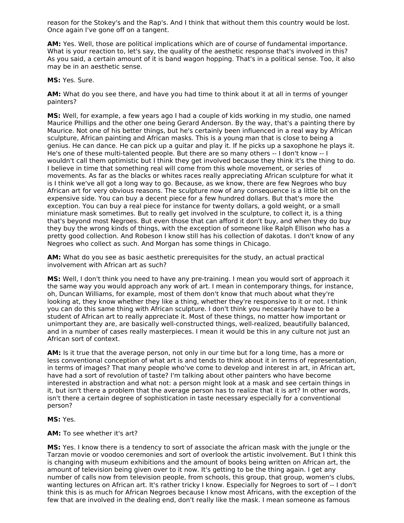reason for the Stokey's and the Rap's. And I think that without them this country would be lost. Once again I've gone off on a tangent.

**AM:** Yes. Well, those are political implications which are of course of fundamental importance. What is your reaction to, let's say, the quality of the aesthetic response that's involved in this? As you said, a certain amount of it is band wagon hopping. That's in a political sense. Too, it also may be in an aesthetic sense.

**MS:** Yes. Sure.

**AM:** What do you see there, and have you had time to think about it at all in terms of younger painters?

**MS:** Well, for example, a few years ago I had a couple of kids working in my studio, one named Maurice Phillips and the other one being Gerard Anderson. By the way, that's a painting there by Maurice. Not one of his better things, but he's certainly been influenced in a real way by African sculpture, African painting and African masks. This is a young man that is close to being a genius. He can dance. He can pick up a guitar and play it. If he picks up a saxophone he plays it. He's one of these multi-talented people. But there are so many others -- I don't know -- I wouldn't call them optimistic but I think they get involved because they think it's the thing to do. I believe in time that something real will come from this whole movement, or series of movements. As far as the blacks or whites races really appreciating African sculpture for what it is I think we've all got a long way to go. Because, as we know, there are few Negroes who buy African art for very obvious reasons. The sculpture now of any consequence is a little bit on the expensive side. You can buy a decent piece for a few hundred dollars. But that's more the exception. You can buy a real piece for instance for twenty dollars, a gold weight, or a small miniature mask sometimes. But to really get involved in the sculpture, to collect it, is a thing that's beyond most Negroes. But even those that can afford it don't buy, and when they do buy they buy the wrong kinds of things, with the exception of someone like Ralph Ellison who has a pretty good collection. And Robeson I know still has his collection of dakotas. I don't know of any Negroes who collect as such. And Morgan has some things in Chicago.

**AM:** What do you see as basic aesthetic prerequisites for the study, an actual practical involvement with African art as such?

**MS:** Well, I don't think you need to have any pre-training. I mean you would sort of approach it the same way you would approach any work of art. I mean in contemporary things, for instance, oh, Duncan Williams, for example, most of them don't know that much about what they're looking at, they know whether they like a thing, whether they're responsive to it or not. I think you can do this same thing with African sculpture. I don't think you necessarily have to be a student of African art to really appreciate it. Most of these things, no matter how important or unimportant they are, are basically well-constructed things, well-realized, beautifully balanced, and in a number of cases really masterpieces. I mean it would be this in any culture not just an African sort of context.

**AM:** Is it true that the average person, not only in our time but for a long time, has a more or less conventional conception of what art is and tends to think about it in terms of representation, in terms of images? That many people who've come to develop and interest in art, in African art, have had a sort of revolution of taste? I'm talking about other painters who have become interested in abstraction and what not: a person might look at a mask and see certain things in it, but isn't there a problem that the average person has to realize that it is art? In other words, isn't there a certain degree of sophistication in taste necessary especially for a conventional person?

**MS:** Yes.

#### **AM:** To see whether it's art?

**MS:** Yes. I know there is a tendency to sort of associate the african mask with the jungle or the Tarzan movie or voodoo ceremonies and sort of overlook the artistic involvement. But I think this is changing with museum exhibitions and the amount of books being written on African art, the amount of television being given over to it now. It's getting to be the thing again. I get any number of calls now from television people, from schools, this group, that group, women's clubs, wanting lectures on African art. It's rather tricky I know. Especially for Negroes to sort of -- I don't think this is as much for African Negroes because I know most Africans, with the exception of the few that are involved in the dealing end, don't really like the mask. I mean someone as famous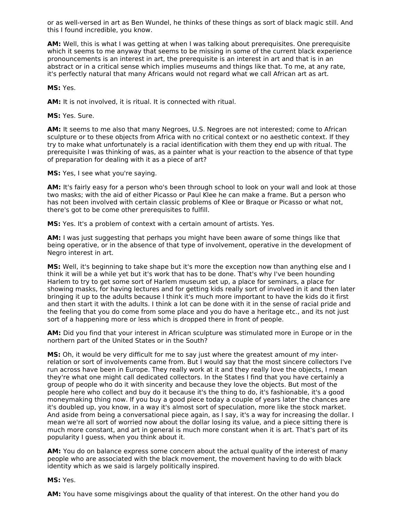or as well-versed in art as Ben Wundel, he thinks of these things as sort of black magic still. And this I found incredible, you know.

**AM:** Well, this is what I was getting at when I was talking about prerequisites. One prerequisite which it seems to me anyway that seems to be missing in some of the current black experience pronouncements is an interest in art, the prerequisite is an interest in art and that is in an abstract or in a critical sense which implies museums and things like that. To me, at any rate, it's perfectly natural that many Africans would not regard what we call African art as art.

**MS:** Yes.

**AM:** It is not involved, it is ritual. It is connected with ritual.

**MS:** Yes. Sure.

**AM:** It seems to me also that many Negroes, U.S. Negroes are not interested; come to African sculpture or to these objects from Africa with no critical context or no aesthetic context. If they try to make what unfortunately is a racial identification with them they end up with ritual. The prerequisite I was thinking of was, as a painter what is your reaction to the absence of that type of preparation for dealing with it as a piece of art?

**MS:** Yes, I see what you're saying.

**AM:** It's fairly easy for a person who's been through school to look on your wall and look at those two masks; with the aid of either Picasso or Paul Klee he can make a frame. But a person who has not been involved with certain classic problems of Klee or Braque or Picasso or what not, there's got to be come other prerequisites to fulfill.

**MS:** Yes. It's a problem of context with a certain amount of artists. Yes.

**AM:** I was just suggesting that perhaps you might have been aware of some things like that being operative, or in the absence of that type of involvement, operative in the development of Negro interest in art.

**MS:** Well, it's beginning to take shape but it's more the exception now than anything else and I think it will be a while yet but it's work that has to be done. That's why I've been hounding Harlem to try to get some sort of Harlem museum set up, a place for seminars, a place for showing masks, for having lectures and for getting kids really sort of involved in it and then later bringing it up to the adults because I think it's much more important to have the kids do it first and then start it with the adults. I think a lot can be done with it in the sense of racial pride and the feeling that you do come from some place and you do have a heritage etc., and its not just sort of a happening more or less which is dropped there in front of people.

**AM:** Did you find that your interest in African sculpture was stimulated more in Europe or in the northern part of the United States or in the South?

**MS:** Oh, it would be very difficult for me to say just where the greatest amount of my interrelation or sort of involvements came from. But I would say that the most sincere collectors I've run across have been in Europe. They really work at it and they really love the objects, I mean they're what one might call dedicated collectors. In the States I find that you have certainly a group of people who do it with sincerity and because they love the objects. But most of the people here who collect and buy do it because it's the thing to do, it's fashionable, it's a good moneymaking thing now. If you buy a good piece today a couple of years later the chances are it's doubled up, you know, in a way it's almost sort of speculation, more like the stock market. And aside from being a conversational piece again, as I say, it's a way for increasing the dollar. I mean we're all sort of worried now about the dollar losing its value, and a piece sitting there is much more constant, and art in general is much more constant when it is art. That's part of its popularity I guess, when you think about it.

**AM:** You do on balance express some concern about the actual quality of the interest of many people who are associated with the black movement, the movement having to do with black identity which as we said is largely politically inspired.

**MS:** Yes.

**AM:** You have some misgivings about the quality of that interest. On the other hand you do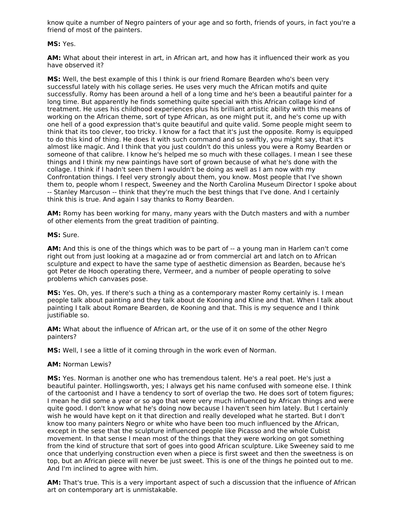know quite a number of Negro painters of your age and so forth, friends of yours, in fact you're a friend of most of the painters.

#### **MS:** Yes.

**AM:** What about their interest in art, in African art, and how has it influenced their work as you have observed it?

**MS:** Well, the best example of this I think is our friend Romare Bearden who's been very successful lately with his collage series. He uses very much the African motifs and quite successfully. Romy has been around a hell of a long time and he's been a beautiful painter for a long time. But apparently he finds something quite special with this African collage kind of treatment. He uses his childhood experiences plus his brilliant artistic ability with this means of working on the African theme, sort of type African, as one might put it, and he's come up with one hell of a good expression that's quite beautiful and quite valid. Some people might seem to think that its too clever, too tricky. I know for a fact that it's just the opposite. Romy is equipped to do this kind of thing. He does it with such command and so swiftly, you might say, that it's almost like magic. And I think that you just couldn't do this unless you were a Romy Bearden or someone of that calibre. I know he's helped me so much with these collages. I mean I see these things and I think my new paintings have sort of grown because of what he's done with the collage. I think if I hadn't seen them I wouldn't be doing as well as I am now with my Confrontation things. I feel very strongly about them, you know. Most people that I've shown them to, people whom I respect, Sweeney and the North Carolina Museum Director I spoke about -- Stanley Marcuson -- think that they're much the best things that I've done. And I certainly think this is true. And again I say thanks to Romy Bearden.

**AM:** Romy has been working for many, many years with the Dutch masters and with a number of other elements from the great tradition of painting.

#### **MS:** Sure.

**AM:** And this is one of the things which was to be part of -- a young man in Harlem can't come right out from just looking at a magazine ad or from commercial art and latch on to African sculpture and expect to have the same type of aesthetic dimension as Bearden, because he's got Peter de Hooch operating there, Vermeer, and a number of people operating to solve problems which canvases pose.

**MS:** Yes. Oh, yes. If there's such a thing as a contemporary master Romy certainly is. I mean people talk about painting and they talk about de Kooning and Kline and that. When I talk about painting I talk about Romare Bearden, de Kooning and that. This is my sequence and I think justifiable so.

**AM:** What about the influence of African art, or the use of it on some of the other Negro painters?

**MS:** Well, I see a little of it coming through in the work even of Norman.

#### **AM:** Norman Lewis?

**MS:** Yes. Norman is another one who has tremendous talent. He's a real poet. He's just a beautiful painter. Hollingsworth, yes; I always get his name confused with someone else. I think of the cartoonist and I have a tendency to sort of overlap the two. He does sort of totem figures; I mean he did some a year or so ago that were very much influenced by African things and were quite good. I don't know what he's doing now because I haven't seen him lately. But I certainly wish he would have kept on it that direction and really developed what he started. But I don't know too many painters Negro or white who have been too much influenced by the African, except in the sese that the sculpture influenced people like Picasso and the whole Cubist movement. In that sense I mean most of the things that they were working on got something from the kind of structure that sort of goes into good African sculpture. Like Sweeney said to me once that underlying construction even when a piece is first sweet and then the sweetness is on top, but an African piece will never be just sweet. This is one of the things he pointed out to me. And I'm inclined to agree with him.

**AM:** That's true. This is a very important aspect of such a discussion that the influence of African art on contemporary art is unmistakable.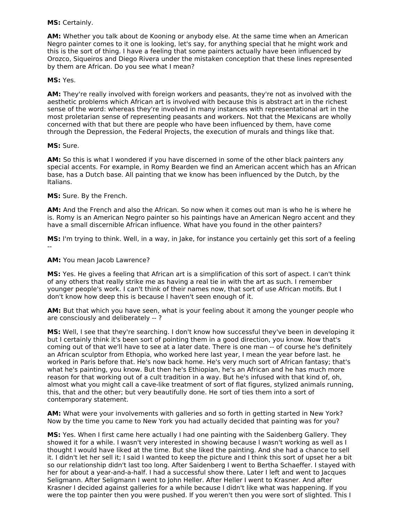#### **MS:** Certainly.

**AM:** Whether you talk about de Kooning or anybody else. At the same time when an American Negro painter comes to it one is looking, let's say, for anything special that he might work and this is the sort of thing. I have a feeling that some painters actually have been influenced by Orozco, Siqueiros and Diego Rivera under the mistaken conception that these lines represented by them are African. Do you see what I mean?

#### **MS:** Yes.

**AM:** They're really involved with foreign workers and peasants, they're not as involved with the aesthetic problems which African art is involved with because this is abstract art in the richest sense of the word: whereas they're involved in many instances with representational art in the most proletarian sense of representing peasants and workers. Not that the Mexicans are wholly concerned with that but there are people who have been influenced by them, have come through the Depression, the Federal Projects, the execution of murals and things like that.

#### **MS:** Sure.

**AM:** So this is what I wondered if you have discerned in some of the other black painters any special accents. For example, in Romy Bearden we find an American accent which has an African base, has a Dutch base. All painting that we know has been influenced by the Dutch, by the Italians.

#### **MS:** Sure. By the French.

**AM:** And the French and also the African. So now when it comes out man is who he is where he is. Romy is an American Negro painter so his paintings have an American Negro accent and they have a small discernible African influence. What have you found in the other painters?

**MS:** I'm trying to think. Well, in a way, in Jake, for instance you certainly get this sort of a feeling --

#### **AM:** You mean Jacob Lawrence?

**MS:** Yes. He gives a feeling that African art is a simplification of this sort of aspect. I can't think of any others that really strike me as having a real tie in with the art as such. I remember younger people's work. I can't think of their names now, that sort of use African motifs. But I don't know how deep this is because I haven't seen enough of it.

**AM:** But that which you have seen, what is your feeling about it among the younger people who are consciously and deliberately -- ?

**MS:** Well, I see that they're searching. I don't know how successful they've been in developing it but I certainly think it's been sort of pointing them in a good direction, you know. Now that's coming out of that we'll have to see at a later date. There is one man -- of course he's definitely an African sculptor from Ethopia, who worked here last year, I mean the year before last. he worked in Paris before that. He's now back home. He's very much sort of African fantasy; that's what he's painting, you know. But then he's Ethiopian, he's an African and he has much more reason for that working out of a cult tradition in a way. But he's infused with that kind of, oh, almost what you might call a cave-like treatment of sort of flat figures, stylized animals running, this, that and the other; but very beautifully done. He sort of ties them into a sort of contemporary statement.

**AM:** What were your involvements with galleries and so forth in getting started in New York? Now by the time you came to New York you had actually decided that painting was for you?

**MS:** Yes. When I first came here actually I had one painting with the Saidenberg Gallery. They showed it for a while. I wasn't very interested in showing because I wasn't working as well as I thought I would have liked at the time. But she liked the painting. And she had a chance to sell it. I didn't let her sell it; I said I wanted to keep the picture and I think this sort of upset her a bit so our relationship didn't last too long. After Saidenberg I went to Bertha Schaeffer. I stayed with her for about a year-and-a-half. I had a successful show there. Later I left and went to Jacques Seligmann. After Seligmann I went to John Heller. After Heller I went to Krasner. And after Krasner I decided against galleries for a while because I didn't like what was happening. If you were the top painter then you were pushed. If you weren't then you were sort of slighted. This I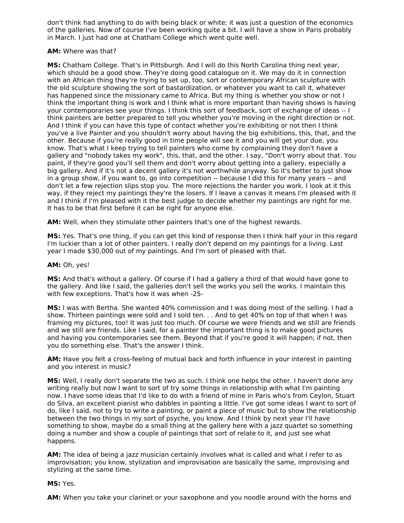don't think had anything to do with being black or white; it was just a question of the economics of the galleries. Now of course I've been working quite a bit. I will have a show in Paris probably in March. I just had one at Chatham College which went quite well.

#### **AM:** Where was that?

**MS:** Chatham College. That's in Pittsburgh. And I will do this North Carolina thing next year, which should be a good show. They're doing good catalogue on it. We may do it in connection with an African thing they're trying to set up, too, sort or contemporary African sculpture with the old sculpture showing the sort of bastardization, or whatever you want to call it, whatever has happened since the missionary came to Africa. But my thing is whether you show or not I think the important thing is work and I think what is more important than having shows is having your contemporaries see your things. I think this sort of feedback, sort of exchange of ideas -- I think painters are better prepared to tell you whether you're moving in the right direction or not. And I think if you can have this type of contact whether you're exhibiting or not then I think you've a live Painter and you shouldn't worry about having the big exhibitions, this, that, and the other. Because if you're really good in time people will see it and you will get your due, you know. That's what I keep trying to tell painters who come by complaining they don't have a gallery and "nobody takes my work", this, that, and the other. I say, "Don't worry about that. You paint, if they're good you'll sell them and don't worry about getting into a gallery, especially a big gallery. And if it's not a decent gallery it's not worthwhile anyway. So it's better to just show in a group show, if you want to, go into competition -- because I did this for many years -- and don't let a few rejection slips stop you. The more rejections the harder you work. I look at it this way, if they reject my paintings they're the losers. If I leave a canvas it means I'm pleased with it and I think if I'm pleased with it the best judge to decide whether my paintings are right for me. It has to be that first before it can be right for anyone else.

**AM:** Well, when they stimulate other painters that's one of the highest rewards.

**MS:** Yes. That's one thing, if you can get this kind of response then I think half your in this regard I'm luckier than a lot of other painters. I really don't depend on my paintings for a living. Last year I made \$30,000 out of my paintings. And I'm sort of pleased with that.

#### **AM:** Oh, yes!

**MS:** And that's without a gallery. Of course if I had a gallery a third of that would have gone to the gallery. And like I said, the galleries don't sell the works you sell the works. I maintain this with few exceptions. That's how it was when -25-

**MS:** I was with Bertha. She wanted 40% commission and I was doing most of the selling. I had a show. Thirteen paintings were sold and I sold ten. . . And to get 40% on top of that when I was framing my pictures, too! It was just too much. Of course we were friends and we still are friends and we still are friends. Like I said, for a painter the important thing is to make good pictures and having you contemporaries see them. Beyond that if you're good it will happen; if not, then you do something else. That's the answer I think.

**AM:** Have you felt a cross-feeling of mutual back and forth influence in your interest in painting and you interest in music?

**MS:** Well, I really don't separate the two as such. I think one helps the other. I haven't done any writing really but now I want to sort of try some things in relationship with what I'm painting now. I have some ideas that I'd like to do with a friend of mine in Paris who's from Ceylon, Stuart do Silva, an excellent pianist who dabbles in painting a little. I've got some ideas I want to sort of do, like I said, not to try to write a painting, or paint a piece of music but to show the relationship between the two things in my sort of psyche, you know. And I think by next year I'll have something to show, maybe do a small thing at the gallery here with a jazz quartet so something doing a number and show a couple of paintings that sort of relate to it, and just see what happens.

**AM:** The idea of being a jazz musician certainly involves what is called and what I refer to as improvisation; you know, stylization and improvisation are basically the same, improvising and stylizing at the same time.

#### **MS:** Yes.

**AM:** When you take your clarinet or your saxophone and you noodle around with the horns and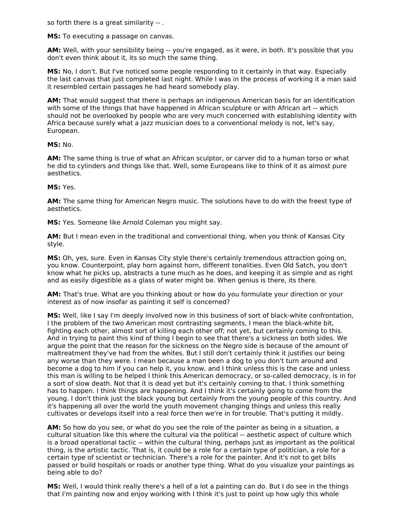so forth there is a great similarity -- .

**MS:** To executing a passage on canvas.

**AM:** Well, with your sensibility being -- you're engaged, as it were, in both. It's possible that you don't even think about it, its so much the same thing.

**MS:** No, I don't. But I've noticed some people responding to it certainly in that way. Especially the last canvas that just completed last night. While I was in the process of working it a man said it resembled certain passages he had heard somebody play.

**AM:** That would suggest that there is perhaps an indigenous American basis for an identification with some of the things that have happened in African sculpture or with African art -- which should not be overlooked by people who are very much concerned with establishing identity with Africa because surely what a jazz musician does to a conventional melody is not, let's say, European.

**MS:** No.

**AM:** The same thing is true of what an African sculptor, or carver did to a human torso or what he did to cylinders and things like that. Well, some Europeans like to think of it as almost pure aesthetics.

#### **MS:** Yes.

**AM:** The same thing for American Negro music. The solutions have to do with the freest type of aesthetics.

**MS:** Yes. Someone like Arnold Coleman you might say.

**AM:** But I mean even in the traditional and conventional thing, when you think of Kansas City style.

**MS:** Oh, yes, sure. Even in Kansas City style there's certainly tremendous attraction going on, you know. Counterpoint, play horn against horn, different tonalities. Even Old Satch, you don't know what he picks up, abstracts a tune much as he does, and keeping it as simple and as right and as easily digestible as a glass of water might be. When genius is there, its there.

**AM:** That's true. What are you thinking about or how do you formulate your direction or your interest as of now insofar as painting it self is concerned?

**MS:** Well, like I say I'm deeply involved now in this business of sort of black-white confrontation, I the problem of the two American most contrasting segments, I mean the black-white bit, fighting each other, almost sort of killing each other off; not yet, but certainly coming to this. And in trying to paint this kind of thing I begin to see that there's a sickness on both sides. We argue the point that the reason for the sickness on the Negro side is because of the amount of maltreatment they've had from the whites. But I still don't certainly think it justifies our being any worse than they were. I mean because a man been a dog to you don't turn around and become a dog to him if you can help it, you know, and I think unless this is the case and unless this man is willing to be helped I think this American democracy, or so-called democracy, is in for a sort of slow death. Not that it is dead yet but it's certainly coming to that. I think something has to happen. I think things are happening. And I think it's certainly going to come from the young. I don't think just the black young but certainly from the young people of this country. And it's happening all over the world the youth movement changing things and unless this really cultivates or develops itself into a real force then we're in for trouble. That's putting it mildly.

**AM:** So how do you see, or what do you see the role of the painter as being in a situation, a cultural situation like this where the cultural via the political -- aesthetic aspect of culture which is a broad operational tactic -- within the cultural thing, perhaps just as important as the political thing, is the artistic tactic. That is, it could be a role for a certain type of politician, a role for a certain type of scientist or technician. There's a role for the painter. And it's not to get bills passed or build hospitals or roads or another type thing. What do you visualize your paintings as being able to do?

**MS:** Well, I would think really there's a hell of a lot a painting can do. But I do see in the things that I'm painting now and enjoy working with I think it's just to point up how ugly this whole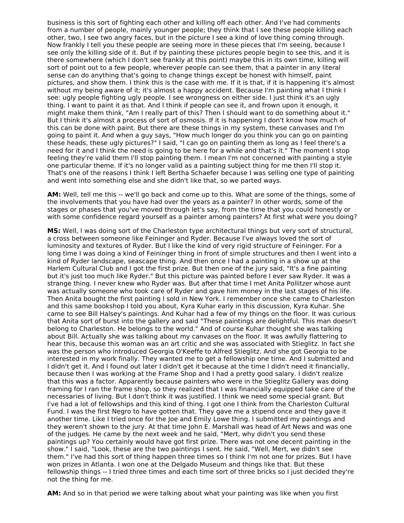business is this sort of fighting each other and killing off each other. And I've had comments from a number of people, mainly younger people; they think that I see these people killing each other, two, I see two angry faces, but in the picture I see a kind of love thing coming through. Now frankly I tell you these people are seeing more in these pieces that I'm seeing, because I see only the killing side of it. But if by painting these pictures people begin to see this, and it is there somewhere (which I don't see frankly at this point) maybe this in its own time, killing will sort of point out to a few people, wherever people can see them, that a painter in any literal sense can do anything that's going to change things except be honest with himself, paint pictures, and show them. I think this is the case with me. If it is that, if it is happening it's almost without my being aware of it; it's almost a happy accident. Because I'm painting what I think I see: ugly people fighting ugly people. I see wrongness on either side. I just think it's an ugly thing. I want to paint it as that. And I think if people can see it, and frown upon it enough, it might make them think, "Am I really part of this? Then I should want to do something about it." But I think it's almost a process of sort of osmosis. If it is happening I don't know how much of this can be done with paint. But there are these things in my system, these canvases and I'm going to paint it. And when a guy says, "How much longer do you think you can go on painting these heads, these ugly pictures?" I said, "I can go on painting them as long as I feel there's a need for it and I think the need is going to be here for a while and that's it." The moment I stop feeling they're valid them I'll stop painting them. I mean I'm not concerned with painting a style one particular theme. If it's no longer valid as a painting subject thing for me then I'll stop it. That's one of the reasons I think I left Bertha Schaefer because I was selling one type of painting and went into something else and she didn't like that, so we parted ways.

**AM:** Well, tell me this -- we'll go back and come up to this. What are some of the things, some of the involvements that you have had over the years as a painter? In other words, some of the stages or phases that you've moved through let's say, from the time that you could honestly or with some confidence regard yourself as a painter among painters? At first what were you doing?

**MS:** Well, I was doing sort of the Charleston type architectural things but very sort of structural, a cross between someone like Feininger and Ryder. Because I've always loved the sort of luminosity and textures of Ryder. But I like the kind of very rigid structure of Feininger. For a long time I was doing a kind of Feininger thing in front of simple structures and then I went into a kind of Ryder landscape, seascape thing. And then once I had a painting in a show up at the Harlem Cultural Club and I got the first prize. But then one of the jury said, "It's a fine painting but it's just too much like Ryder." But this picture was painted before I ever saw Ryder. It was a strange thing. I never knew who Ryder was. But after that time I met Anita Pollitzer whose aunt was actually someone who took care of Ryder and gave him money in the last stages of his life. Then Anita bought the first painting I sold in New York. I remember once she came to Charleston and this same bookshop I told you about, Kyra Kuhar early in this discussion, Kyra Kuhar. She came to see Bill Halsey's paintings. And Kuhar had a few of my things on the floor. It was curious that Anita sort of burst into the gallery and said "These paintings are delightful. This man doesn't belong to Charleston. He belongs to the world." And of course Kuhar thought she was talking about Bill. Actually she was talking about my canvases on the floor. It was awfully flattering to hear this, because this woman was an art critic and she was associated with Stieglitz. In fact she was the person who introduced Georgia O'Keeffe to Alfred Stieglitz. And she got Georgia to be interested in my work finally. They wanted me to get a fellowship one time. And I submitted and I didn't get it. And I found out later I didn't get it because at the time I didn't need it financially, because then I was working at the Frame Shop and I had a pretty good salary. I didn't realize that this was a factor. Apparently because painters who were in the Stieglitz Gallery was doing framing for I ran the frame shop, so they realized that I was financially equipped take care of the necessaries of living. But I don't think it was justified. I think we need some special grant. But I've had a lot of fellowships and this kind of thing. I got one I think from the Charleston Cultural Fund. I was the first Negro to have gotten that. They gave me a stipend once and they gave it another time. Like I tried once for the Joe and Emily Lowe thing. I submitted my paintings and they weren't shown to the jury. At that time John E. Marshall was head of Art News and was one of the judges. He came by the next week and he said, "Mert, why didn't you send these paintings up? You certainly would have got first prize. There was not one decent painting in the show." I said, "Look, these are the two paintings I sent. He said, "Well, Mert, we didn't see them." I've had this sort of thing happen three times so I think I'm not one for prizes. But I have won prizes in Atlanta. I won one at the Delgado Museum and things like that. But these fellowship things -- I tried three times and each time sort of three bricks so I just decided they're not the thing for me.

**AM:** And so in that period we were talking about what your painting was like when you first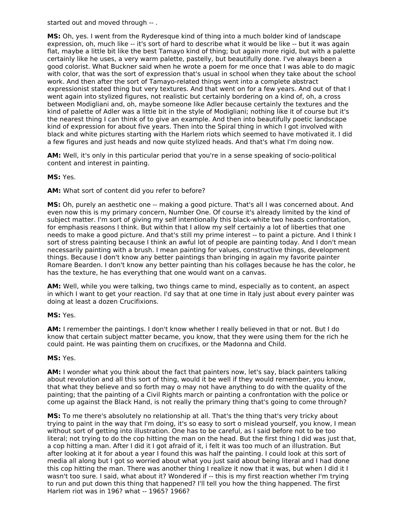started out and moved through -- .

**MS:** Oh, yes. I went from the Ryderesque kind of thing into a much bolder kind of landscape expression, oh, much like -- it's sort of hard to describe what it would be like -- but it was again flat, maybe a little bit like the best Tamayo kind of thing; but again more rigid, but with a palette certainly like he uses, a very warm palette, pastelly, but beautifully done. I've always been a good colorist. What Buckner said when he wrote a poem for me once that I was able to do magic with color, that was the sort of expression that's usual in school when they take about the school work. And then after the sort of Tamayo-related things went into a complete abstract expressionist stated thing but very textures. And that went on for a few years. And out of that I went again into stylized figures, not realistic but certainly bordering on a kind of, oh, a cross between Modigliani and, oh, maybe someone like Adler because certainly the textures and the kind of palette of Adler was a little bit in the style of Modigliani; nothing like it of course but it's the nearest thing I can think of to give an example. And then into beautifully poetic landscape kind of expression for about five years. Then into the Spiral thing in which I got involved with black and white pictures starting with the Harlem riots which seemed to have motivated it. I did a few figures and just heads and now quite stylized heads. And that's what I'm doing now.

**AM:** Well, it's only in this particular period that you're in a sense speaking of socio-political content and interest in painting.

#### **MS:** Yes.

**AM:** What sort of content did you refer to before?

**MS:** Oh, purely an aesthetic one -- making a good picture. That's all I was concerned about. And even now this is my primary concern, Number One. Of course it's already limited by the kind of subject matter. I'm sort of giving my self intentionally this black-white two heads confrontation, for emphasis reasons I think. But within that I allow my self certainly a lot of liberties that one needs to make a good picture. And that's still my prime interest -- to paint a picture. And I think I sort of stress painting because I think an awful lot of people are painting today. And I don't mean necessarily painting with a brush. I mean painting for values, constructive things, development things. Because I don't know any better paintings than bringing in again my favorite painter Romare Bearden. I don't know any better painting than his collages because he has the color, he has the texture, he has everything that one would want on a canvas.

**AM:** Well, while you were talking, two things came to mind, especially as to content, an aspect in which I want to get your reaction. I'd say that at one time in Italy just about every painter was doing at least a dozen Crucifixions.

#### **MS:** Yes.

**AM:** I remember the paintings. I don't know whether I really believed in that or not. But I do know that certain subject matter became, you know, that they were using them for the rich he could paint. He was painting them on crucifixes, or the Madonna and Child.

#### **MS:** Yes.

**AM:** I wonder what you think about the fact that painters now, let's say, black painters talking about revolution and all this sort of thing, would it be well if they would remember, you know, that what they believe and so forth may o may not have anything to do with the quality of the painting; that the painting of a Civil Rights march or painting a confrontation with the police or come up against the Black Hand, is not really the primary thing that's going to come through?

**MS:** To me there's absolutely no relationship at all. That's the thing that's very tricky about trying to paint in the way that I'm doing, it's so easy to sort o mislead yourself, you know, I mean without sort of getting into illustration. One has to be careful, as I said before not to be too literal; not trying to do the cop hitting the man on the head. But the first thing I did was just that, a cop hitting a man. After I did it I got afraid of it, i felt it was too much of an illustration. But after looking at it for about a year I found this was half the painting. I could look at this sort of media all along but I got so worried about what you just said about being literal and I had done this cop hitting the man. There was another thing I realize it now that it was, but when I did it I wasn't too sure. I said, what about it? Wondered if -- this is my first reaction whether I'm trying to run and put down this thing that happened? I'll tell you how the thing happened. The first Harlem riot was in 196? what -- 1965? 1966?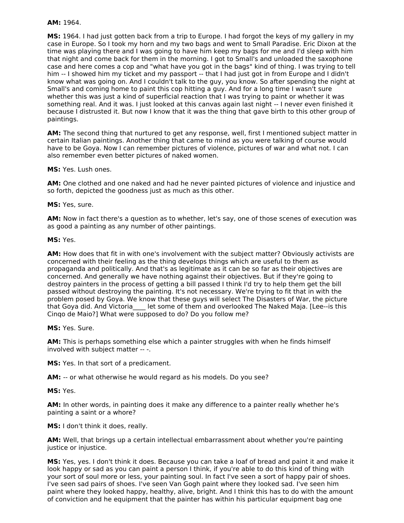#### **AM:** 1964.

**MS:** 1964. I had just gotten back from a trip to Europe. I had forgot the keys of my gallery in my case in Europe. So I took my horn and my two bags and went to Small Paradise. Eric Dixon at the time was playing there and I was going to have him keep my bags for me and I'd sleep with him that night and come back for them in the morning. I got to Small's and unloaded the saxophone case and here comes a cop and "what have you got in the bags" kind of thing. I was trying to tell him -- I showed him my ticket and my passport -- that I had just got in from Europe and I didn't know what was going on. And I couldn't talk to the guy, you know. So after spending the night at Small's and coming home to paint this cop hitting a guy. And for a long time I wasn't sure whether this was just a kind of superficial reaction that I was trying to paint or whether it was something real. And it was. I just looked at this canvas again last night -- I never even finished it because I distrusted it. But now I know that it was the thing that gave birth to this other group of paintings.

**AM:** The second thing that nurtured to get any response, well, first I mentioned subject matter in certain Italian paintings. Another thing that came to mind as you were talking of course would have to be Goya. Now I can remember pictures of violence, pictures of war and what not. I can also remember even better pictures of naked women.

**MS:** Yes. Lush ones.

**AM:** One clothed and one naked and had he never painted pictures of violence and injustice and so forth, depicted the goodness just as much as this other.

**MS:** Yes, sure.

**AM:** Now in fact there's a question as to whether, let's say, one of those scenes of execution was as good a painting as any number of other paintings.

**MS:** Yes.

**AM:** How does that fit in with one's involvement with the subject matter? Obviously activists are concerned with their feeling as the thing develops things which are useful to them as propaganda and politically. And that's as legitimate as it can be so far as their objectives are concerned. And generally we have nothing against their objectives. But if they're going to destroy painters in the process of getting a bill passed I think I'd try to help them get the bill passed without destroying the painting. It's not necessary. We're trying to fit that in with the problem posed by Goya. We know that these guys will select The Disasters of War, the picture that Goya did. And Victoria\_\_\_\_ let some of them and overlooked The Naked Maja. [Lee--is this Cinqo de Maio?] What were supposed to do? Do you follow me?

**MS:** Yes. Sure.

**AM:** This is perhaps something else which a painter struggles with when he finds himself involved with subject matter -- -.

**MS:** Yes. In that sort of a predicament.

**AM:** -- or what otherwise he would regard as his models. Do you see?

**MS:** Yes.

**AM:** In other words, in painting does it make any difference to a painter really whether he's painting a saint or a whore?

**MS:** I don't think it does, really.

**AM:** Well, that brings up a certain intellectual embarrassment about whether you're painting justice or injustice.

**MS:** Yes, yes. I don't think it does. Because you can take a loaf of bread and paint it and make it look happy or sad as you can paint a person I think, if you're able to do this kind of thing with your sort of soul more or less, your painting soul. In fact I've seen a sort of happy pair of shoes. I've seen sad pairs of shoes. I've seen Van Gogh paint where they looked sad. I've seen him paint where they looked happy, healthy, alive, bright. And I think this has to do with the amount of conviction and he equipment that the painter has within his particular equipment bag one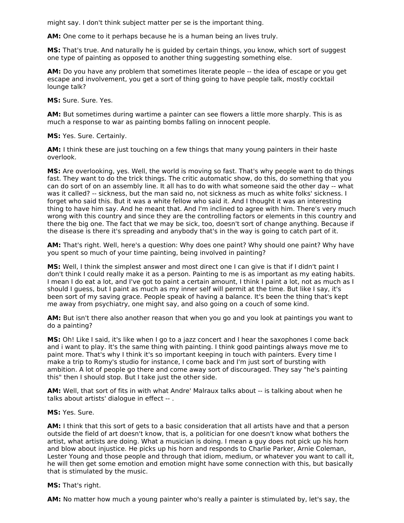might say. I don't think subject matter per se is the important thing.

**AM:** One come to it perhaps because he is a human being an lives truly.

**MS:** That's true. And naturally he is guided by certain things, you know, which sort of suggest one type of painting as opposed to another thing suggesting something else.

**AM:** Do you have any problem that sometimes literate people -- the idea of escape or you get escape and involvement, you get a sort of thing going to have people talk, mostly cocktail lounge talk?

**MS:** Sure. Sure. Yes.

**AM:** But sometimes during wartime a painter can see flowers a little more sharply. This is as much a response to war as painting bombs falling on innocent people.

**MS:** Yes. Sure. Certainly.

**AM:** I think these are just touching on a few things that many young painters in their haste overlook.

**MS:** Are overlooking, yes. Well, the world is moving so fast. That's why people want to do things fast. They want to do the trick things. The critic automatic show, do this, do something that you can do sort of on an assembly line. It all has to do with what someone said the other day -- what was it called? -- sickness, but the man said no, not sickness as much as white folks' sickness. I forget who said this. But it was a white fellow who said it. And I thought it was an interesting thing to have him say. And he meant that. And I'm inclined to agree with him. There's very much wrong with this country and since they are the controlling factors or elements in this country and there the big one. The fact that we may be sick, too, doesn't sort of change anything. Because if the disease is there it's spreading and anybody that's in the way is going to catch part of it.

**AM:** That's right. Well, here's a question: Why does one paint? Why should one paint? Why have you spent so much of your time painting, being involved in painting?

**MS:** Well, I think the simplest answer and most direct one I can give is that if I didn't paint I don't think I could really make it as a person. Painting to me is as important as my eating habits. I mean I do eat a lot, and I've got to paint a certain amount, I think I paint a lot, not as much as I should I guess, but I paint as much as my inner self will permit at the time. But like I say, it's been sort of my saving grace. People speak of having a balance. It's been the thing that's kept me away from psychiatry, one might say, and also going on a couch of some kind.

**AM:** But isn't there also another reason that when you go and you look at paintings you want to do a painting?

**MS:** Oh! Like I said, it's like when I go to a jazz concert and I hear the saxophones I come back and i want to play. It's the same thing with painting. I think good paintings always move me to paint more. That's why I think it's so important keeping in touch with painters. Every time I make a trip to Romy's studio for instance, I come back and I'm just sort of bursting with ambition. A lot of people go there and come away sort of discouraged. They say "he's painting this" then I should stop. But I take just the other side.

**AM:** Well, that sort of fits in with what Andre' Malraux talks about -- is talking about when he talks about artists' dialogue in effect -- .

**MS:** Yes. Sure.

**AM:** I think that this sort of gets to a basic consideration that all artists have and that a person outside the field of art doesn't know, that is, a politician for one doesn't know what bothers the artist, what artists are doing. What a musician is doing. I mean a guy does not pick up his horn and blow about injustice. He picks up his horn and responds to Charlie Parker, Arnie Coleman, Lester Young and those people and through that idiom, medium, or whatever you want to call it, he will then get some emotion and emotion might have some connection with this, but basically that is stimulated by the music.

**MS:** That's right.

**AM:** No matter how much a young painter who's really a painter is stimulated by, let's say, the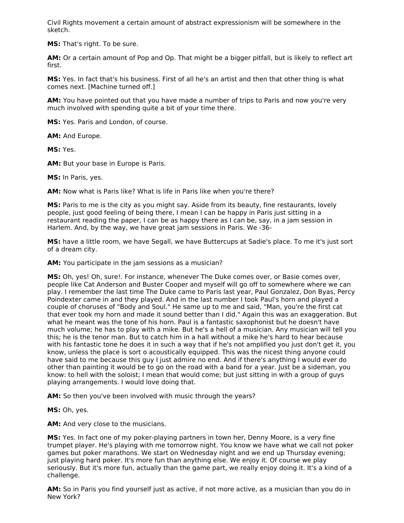Civil Rights movement a certain amount of abstract expressionism will be somewhere in the sketch.

**MS:** That's right. To be sure.

**AM:** Or a certain amount of Pop and Op. That might be a bigger pitfall, but is likely to reflect art first.

**MS:** Yes. In fact that's his business. First of all he's an artist and then that other thing is what comes next. [Machine turned off.]

**AM:** You have pointed out that you have made a number of trips to Paris and now you're very much involved with spending quite a bit of your time there.

**MS:** Yes. Paris and London, of course.

**AM:** And Europe.

**MS:** Yes.

**AM:** But your base in Europe is Paris.

**MS:** In Paris, yes.

**AM:** Now what is Paris like? What is life in Paris like when you're there?

**MS:** Paris to me is the city as you might say. Aside from its beauty, fine restaurants, lovely people, just good feeling of being there, I mean I can be happy in Paris just sitting in a restaurant reading the paper, I can be as happy there as I can be, say, in a jam session in Harlem. And, by the way, we have great jam sessions in Paris. We -36-

**MS:** have a little room, we have Segall, we have Buttercups at Sadie's place. To me it's just sort of a dream city.

**AM:** You participate in the jam sessions as a musician?

**MS:** Oh, yes! Oh, sure!. For instance, whenever The Duke comes over, or Basie comes over, people like Cat Anderson and Buster Cooper and myself will go off to somewhere where we can play. I remember the last time The Duke came to Paris last year, Paul Gonzalez, Don Byas, Percy Poindexter came in and they played. And in the last number I took Paul's horn and played a couple of choruses of "Body and Soul." He same up to me and said, "Man, you're the first cat that ever took my horn and made it sound better than I did." Again this was an exaggeration. But what he meant was the tone of his horn. Paul is a fantastic saxophonist but he doesn't have much volume; he has to play with a mike. But he's a hell of a musician. Any musician will tell you this; he is the tenor man. But to catch him in a hall without a mike he's hard to hear because with his fantastic tone he does it in such a way that if he's not amplified you just don't get it, you know, unless the place is sort o acoustically equipped. This was the nicest thing anyone could have said to me because this guy I just admire no end. And if there's anything I would ever do other than painting it would be to go on the road with a band for a year. Just be a sideman, you know: to hell with the soloist; I mean that would come; but just sitting in with a group of guys playing arrangements. I would love doing that.

**AM:** So then you've been involved with music through the years?

**MS:** Oh, yes.

**AM:** And very close to the musicians.

**MS:** Yes. In fact one of my poker-playing partners in town her, Denny Moore, is a very fine trumpet player. He's playing with me tomorrow night. You know we have what we call not poker games but poker marathons. We start on Wednesday night and we end up Thursday evening; just playing hard poker. It's more fun than anything else. We enjoy it. Of course we play seriously. But it's more fun, actually than the game part, we really enjoy doing it. It's a kind of a challenge.

**AM:** So in Paris you find yourself just as active, if not more active, as a musician than you do in New York?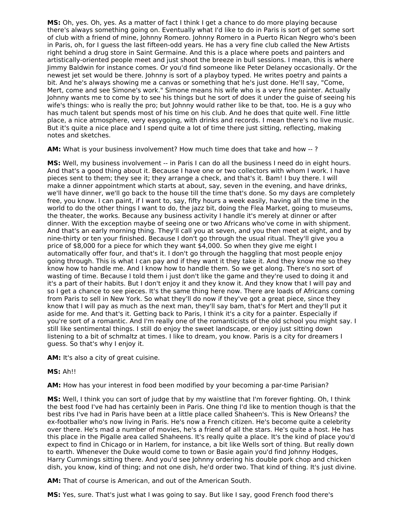**MS:** Oh, yes. Oh, yes. As a matter of fact I think I get a chance to do more playing because there's always something going on. Eventually what I'd like to do in Paris is sort of get some sort of club with a friend of mine, Johnny Romero. Johnny Romero in a Puerto Rican Negro who's been in Paris, oh, for I guess the last fifteen-odd years. He has a very fine club called the New Artists right behind a drug store in Saint Germaine. And this is a place where poets and painters and artistically-oriented people meet and just shoot the breeze in bull sessions. I mean, this is where Jimmy Baldwin for instance comes. Or you'd find someone like Peter Delaney occasionally. Or the newest jet set would be there. Johnny is sort of a playboy typed. He writes poetry and paints a bit. And he's always showing me a canvas or something that he's just done. He'll say, "Come, Mert, come and see Simone's work." Simone means his wife who is a very fine painter. Actually Johnny wants me to come by to see his things but he sort of does it under the guise of seeing his wife's things: who is really the pro; but Johnny would rather like to be that, too. He is a guy who has much talent but spends most of his time on his club. And he does that quite well. Fine little place, a nice atmosphere, very easygoing, with drinks and records. I mean there's no live music. But it's quite a nice place and I spend quite a lot of time there just sitting, reflecting, making notes and sketches.

**AM:** What is your business involvement? How much time does that take and how -- ?

**MS:** Well, my business involvement -- in Paris I can do all the business I need do in eight hours. And that's a good thing about it. Because I have one or two collectors with whom I work. I have pieces sent to them; they see it; they arrange a check, and that's it. Bam! I buy there. I will make a dinner appointment which starts at about, say, seven in the evening, and have drinks, we'll have dinner, we'll go back to the house till the time that's done. So my days are completely free, you know. I can paint, if I want to, say, fifty hours a week easily, having all the time in the world to do the other things I want to do, the jazz bit, doing the Flea Market, going to museums, the theater, the works. Because any business activity I handle it's merely at dinner or after dinner. With the exception maybe of seeing one or two Africans who've come in with shipment. And that's an early morning thing. They'll call you at seven, and you then meet at eight, and by nine-thirty or ten your finished. Because I don't go through the usual ritual. They'll give you a price of \$8,000 for a piece for which they want \$4,000. So when they give me eight I automatically offer four, and that's it. I don't go through the haggling that most people enjoy going through. This is what I can pay and if they want it they take it. And they know me so they know how to handle me. And I know how to handle them. So we get along. There's no sort of wasting of time. Because I told them i just don't like the game and they're used to doing it and it's a part of their habits. But I don't enjoy it and they know it. And they know that I will pay and so I get a chance to see pieces. It's the same thing here now. There are loads of Africans coming from Paris to sell in New York. So what they'll do now if they've got a great piece, since they know that I will pay as much as the next man, they'll say bam, that's for Mert and they'll put it aside for me. And that's it. Getting back to Paris, I think it's a city for a painter. Especially if you're sort of a romantic. And I'm really one of the romanticists of the old school you might say. I still like sentimental things. I still do enjoy the sweet landscape, or enjoy just sitting down listening to a bit of schmaltz at times. I like to dream, you know. Paris is a city for dreamers I guess. So that's why I enjoy it.

**AM:** It's also a city of great cuisine.

## **MS:** Ah!!

**AM:** How has your interest in food been modified by your becoming a par-time Parisian?

**MS:** Well, I think you can sort of judge that by my waistline that I'm forever fighting. Oh, I think the best food I've had has certainly been in Paris. One thing I'd like to mention though is that the best ribs I've had in Paris have been at a little place called Shaheen's. This is New Orleans? the ex-footballer who's now living in Paris. He's now a French citizen. He's become quite a celebrity over there. He's mad a number of movies, he's a friend of all the stars. He's quite a host. He has this place in the Pigalle area called Shaheens. It's really quite a place. It's the kind of place you'd expect to find in Chicago or in Harlem, for instance, a bit like Wells sort of thing. But really down to earth. Whenever the Duke would come to town or Basie again you'd find Johnny Hodges, Harry Cummings sitting there. And you'd see Johnny ordering his double pork chop and chicken dish, you know, kind of thing; and not one dish, he'd order two. That kind of thing. It's just divine.

**AM:** That of course is American, and out of the American South.

**MS:** Yes, sure. That's just what I was going to say. But like I say, good French food there's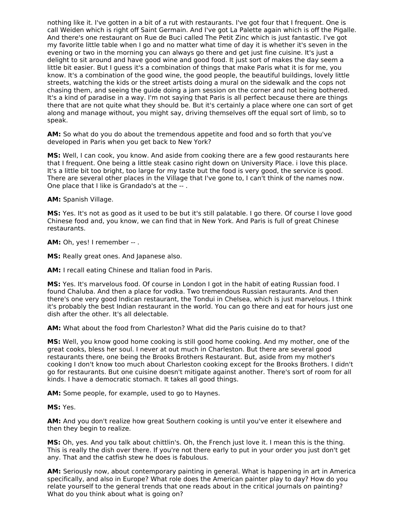nothing like it. I've gotten in a bit of a rut with restaurants. I've got four that I frequent. One is call Weiden which is right off Saint Germain. And I've got La Palette again which is off the Pigalle. And there's one restaurant on Rue de Buci called The Petit Zinc which is just fantastic. I've got my favorite little table when I go and no matter what time of day it is whether it's seven in the evening or two in the morning you can always go there and get just fine cuisine. It's just a delight to sit around and have good wine and good food. It just sort of makes the day seem a little bit easier. But I guess it's a combination of things that make Paris what it is for me, you know. It's a combination of the good wine, the good people, the beautiful buildings, lovely little streets, watching the kids or the street artists doing a mural on the sidewalk and the cops not chasing them, and seeing the guide doing a jam session on the corner and not being bothered. It's a kind of paradise in a way. I'm not saying that Paris is all perfect because there are things there that are not quite what they should be. But it's certainly a place where one can sort of get along and manage without, you might say, driving themselves off the equal sort of limb, so to speak.

**AM:** So what do you do about the tremendous appetite and food and so forth that you've developed in Paris when you get back to New York?

**MS:** Well, I can cook, you know. And aside from cooking there are a few good restaurants here that I frequent. One being a little steak casino right down on University Place. i love this place. It's a little bit too bright, too large for my taste but the food is very good, the service is good. There are several other places in the Village that I've gone to, I can't think of the names now. One place that I like is Grandado's at the -- .

**AM:** Spanish Village.

**MS:** Yes. It's not as good as it used to be but it's still palatable. I go there. Of course I love good Chinese food and, you know, we can find that in New York. And Paris is full of great Chinese restaurants.

**AM:** Oh, yes! I remember -- .

**MS:** Really great ones. And Japanese also.

**AM:** I recall eating Chinese and Italian food in Paris.

**MS:** Yes. It's marvelous food. Of course in London I got in the habit of eating Russian food. I found Chaluba. And then a place for vodka. Two tremendous Russian restaurants. And then there's one very good Indican restaurant, the Tondui in Chelsea, which is just marvelous. I think it's probably the best Indian restaurant in the world. You can go there and eat for hours just one dish after the other. It's all delectable.

**AM:** What about the food from Charleston? What did the Paris cuisine do to that?

**MS:** Well, you know good home cooking is still good home cooking. And my mother, one of the great cooks, bless her soul. I never at out much in Charleston. But there are several good restaurants there, one being the Brooks Brothers Restaurant. But, aside from my mother's cooking I don't know too much about Charleston cooking except for the Brooks Brothers. I didn't go for restaurants. But one cuisine doesn't mitigate against another. There's sort of room for all kinds. I have a democratic stomach. It takes all good things.

**AM:** Some people, for example, used to go to Haynes.

#### **MS:** Yes.

**AM:** And you don't realize how great Southern cooking is until you've enter it elsewhere and then they begin to realize.

**MS:** Oh, yes. And you talk about chittlin's. Oh, the French just love it. I mean this is the thing. This is really the dish over there. If you're not there early to put in your order you just don't get any. That and the catfish stew he does is fabulous.

**AM:** Seriously now, about contemporary painting in general. What is happening in art in America specifically, and also in Europe? What role does the American painter play to day? How do you relate yourself to the general trends that one reads about in the critical journals on painting? What do you think about what is going on?